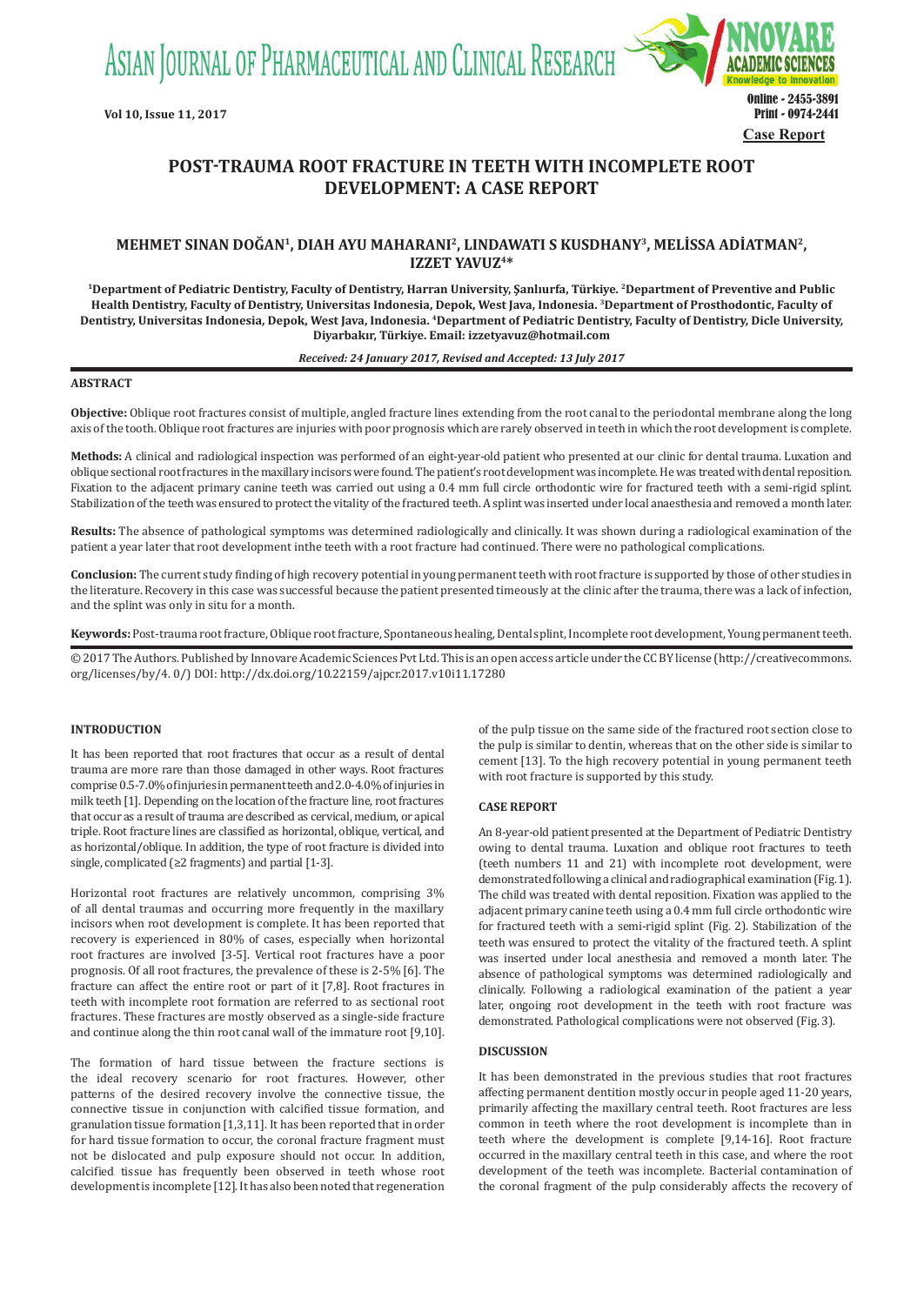ASIAN JOURNAL OF PHARMACEUTICAL AND CLINICAL RESEARCH



# **POST-TRAUMA ROOT FRACTURE IN TEETH WITH INCOMPLETE ROOT DEVELOPMENT: A CASE REPORT**

# **MEHMET SINAN DOĞAN<sup>1</sup>, DIAH AYU MAHARANI<sup>2</sup>, LINDAWATI S KUSDHANY<sup>3</sup>, MELİSSA ADİATMAN2, IZZET YAVUZ4\***

**<sup>1</sup>Department of Pediatric Dentistry, Faculty of Dentistry, Harran University, Şanlıurfa, Türkiye. <sup>2</sup>Department of Preventive and Public Health Dentistry, Faculty of Dentistry, Universitas Indonesia, Depok, West Java, Indonesia. <sup>3</sup>Department of Prosthodontic, Faculty of Dentistry, Universitas Indonesia, Depok, West Java, Indonesia. <sup>4</sup>Department of Pediatric Dentistry, Faculty of Dentistry, Dicle University, Diyarbakır, Türkiye. Email: izzetyavuz@hotmail.com**

#### *Received: 24 January 2017, Revised and Accepted: 13 July 2017*

### **ABSTRACT**

**Objective:** Oblique root fractures consist of multiple, angled fracture lines extending from the root canal to the periodontal membrane along the long axis of the tooth. Oblique root fractures are injuries with poor prognosis which are rarely observed in teeth in which the root development is complete.

**Methods:** A clinical and radiological inspection was performed of an eight-year-old patient who presented at our clinic for dental trauma. Luxation and oblique sectional root fractures in the maxillary incisors were found. The patient's root development was incomplete. He was treated with dental reposition. Fixation to the adjacent primary canine teeth was carried out using a 0.4 mm full circle orthodontic wire for fractured teeth with a semi-rigid splint. Stabilization of the teeth was ensured to protect the vitality of the fractured teeth. A splint was inserted under local anaesthesia and removed a month later.

**Results:** The absence of pathological symptoms was determined radiologically and clinically. It was shown during a radiological examination of the patient a year later that root development inthe teeth with a root fracture had continued. There were no pathological complications.

**Conclusion:** The current study finding of high recovery potential in young permanent teeth with root fracture is supported by those of other studies in the literature. Recovery in this case was successful because the patient presented timeously at the clinic after the trauma, there was a lack of infection, and the splint was only in situ for a month.

**Keywords:** Post-trauma root fracture, Oblique root fracture, Spontaneous healing, Dental splint, Incomplete root development, Young permanent teeth.

© 2017 The Authors. Published by Innovare Academic Sciences Pvt Ltd. This is an open access article under the CC BY license (http://creativecommons. org/licenses/by/4. 0/) DOI: http://dx.doi.org/10.22159/ajpcr.2017.v10i11.17280

#### **INTRODUCTION**

It has been reported that root fractures that occur as a result of dental trauma are more rare than those damaged in other ways. Root fractures comprise 0.5-7.0% of injuries in permanent teeth and 2.0-4.0% of injuries in milk teeth [1]. Depending on the location of the fracture line, root fractures that occur as a result of trauma are described as cervical, medium, or apical triple. Root fracture lines are classified as horizontal, oblique, vertical, and as horizontal/oblique. In addition, the type of root fracture is divided into single, complicated (≥2 fragments) and partial [1-3].

Horizontal root fractures are relatively uncommon, comprising 3% of all dental traumas and occurring more frequently in the maxillary incisors when root development is complete. It has been reported that recovery is experienced in 80% of cases, especially when horizontal root fractures are involved [3-5]. Vertical root fractures have a poor prognosis. Of all root fractures, the prevalence of these is 2-5% [6]. The fracture can affect the entire root or part of it [7,8]. Root fractures in teeth with incomplete root formation are referred to as sectional root fractures. These fractures are mostly observed as a single-side fracture and continue along the thin root canal wall of the immature root [9,10].

The formation of hard tissue between the fracture sections is the ideal recovery scenario for root fractures. However, other patterns of the desired recovery involve the connective tissue, the connective tissue in conjunction with calcified tissue formation, and granulation tissue formation [1,3,11]. It has been reported that in order for hard tissue formation to occur, the coronal fracture fragment must not be dislocated and pulp exposure should not occur. In addition, calcified tissue has frequently been observed in teeth whose root development is incomplete [12]. It has also been noted that regeneration of the pulp tissue on the same side of the fractured root section close to the pulp is similar to dentin, whereas that on the other side is similar to cement [13]. To the high recovery potential in young permanent teeth with root fracture is supported by this study.

## **CASE REPORT**

An 8-year-old patient presented at the Department of Pediatric Dentistry owing to dental trauma. Luxation and oblique root fractures to teeth (teeth numbers 11 and 21) with incomplete root development, were demonstrated following a clinical and radiographical examination (Fig.1). The child was treated with dental reposition. Fixation was applied to the adjacent primary canine teeth using a 0.4 mm full circle orthodontic wire for fractured teeth with a semi-rigid splint (Fig. 2). Stabilization of the teeth was ensured to protect the vitality of the fractured teeth. A splint was inserted under local anesthesia and removed a month later. The absence of pathological symptoms was determined radiologically and clinically. Following a radiological examination of the patient a year later, ongoing root development in the teeth with root fracture was demonstrated. Pathological complications were not observed (Fig. 3).

#### **DISCUSSION**

It has been demonstrated in the previous studies that root fractures affecting permanent dentition mostly occur in people aged 11-20 years, primarily affecting the maxillary central teeth. Root fractures are less common in teeth where the root development is incomplete than in teeth where the development is complete [9,14-16]. Root fracture occurred in the maxillary central teeth in this case, and where the root development of the teeth was incomplete. Bacterial contamination of the coronal fragment of the pulp considerably affects the recovery of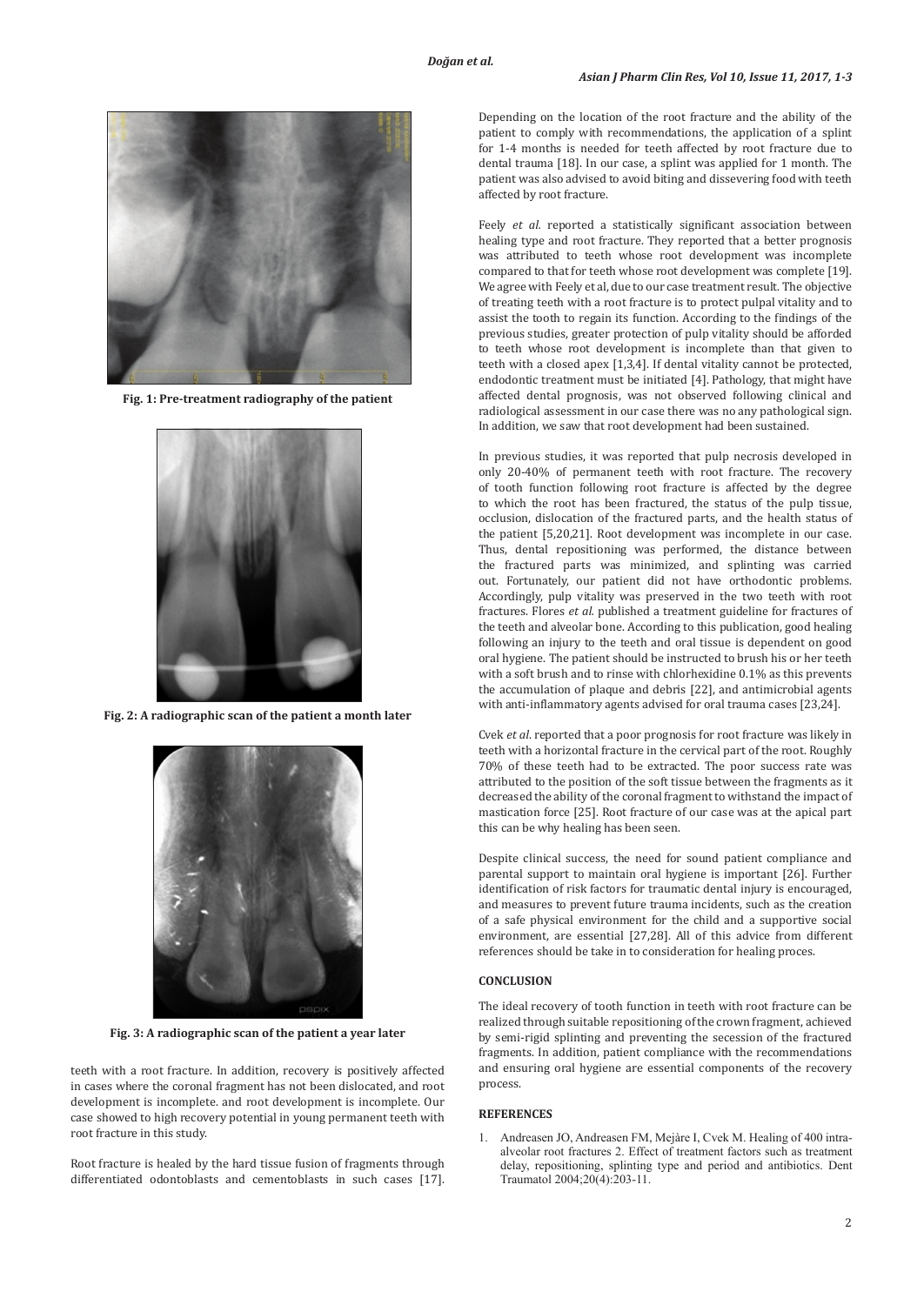

**Fig. 1: Pre-treatment radiography of the patient**



**Fig. 2: A radiographic scan of the patient a month later**



**Fig. 3: A radiographic scan of the patient a year later**

teeth with a root fracture. In addition, recovery is positively affected in cases where the coronal fragment has not been dislocated, and root development is incomplete. and root development is incomplete. Our case showed to high recovery potential in young permanent teeth with root fracture in this study.

Root fracture is healed by the hard tissue fusion of fragments through differentiated odontoblasts and cementoblasts in such cases [17].

Depending on the location of the root fracture and the ability of the patient to comply with recommendations, the application of a splint for 1-4 months is needed for teeth affected by root fracture due to dental trauma [18]. In our case, a splint was applied for 1 month. The patient was also advised to avoid biting and dissevering food with teeth affected by root fracture.

Feely *et al.* reported a statistically significant association between healing type and root fracture. They reported that a better prognosis was attributed to teeth whose root development was incomplete compared to that for teeth whose root development was complete [19]. We agree with Feely et al, due to our case treatment result. The objective of treating teeth with a root fracture is to protect pulpal vitality and to assist the tooth to regain its function. According to the findings of the previous studies, greater protection of pulp vitality should be afforded to teeth whose root development is incomplete than that given to teeth with a closed apex [1,3,4]. If dental vitality cannot be protected, endodontic treatment must be initiated [4]. Pathology, that might have affected dental prognosis, was not observed following clinical and radiological assessment in our case there was no any pathological sign. In addition, we saw that root development had been sustained.

In previous studies, it was reported that pulp necrosis developed in only 20-40% of permanent teeth with root fracture. The recovery of tooth function following root fracture is affected by the degree to which the root has been fractured, the status of the pulp tissue, occlusion, dislocation of the fractured parts, and the health status of the patient [5,20,21]. Root development was incomplete in our case. Thus, dental repositioning was performed, the distance between the fractured parts was minimized, and splinting was carried out. Fortunately, our patient did not have orthodontic problems. Accordingly, pulp vitality was preserved in the two teeth with root fractures. Flores *et al.* published a treatment guideline for fractures of the teeth and alveolar bone. According to this publication, good healing following an injury to the teeth and oral tissue is dependent on good oral hygiene. The patient should be instructed to brush his or her teeth with a soft brush and to rinse with chlorhexidine 0.1% as this prevents the accumulation of plaque and debris [22], and antimicrobial agents with anti-inflammatory agents advised for oral trauma cases [23,24].

Cvek *et al*. reported that a poor prognosis for root fracture was likely in teeth with a horizontal fracture in the cervical part of the root. Roughly 70% of these teeth had to be extracted. The poor success rate was attributed to the position of the soft tissue between the fragments as it decreased the ability of the coronal fragment to withstand the impact of mastication force [25]. Root fracture of our case was at the apical part this can be why healing has been seen.

Despite clinical success, the need for sound patient compliance and parental support to maintain oral hygiene is important [26]. Further identification of risk factors for traumatic dental injury is encouraged, and measures to prevent future trauma incidents, such as the creation of a safe physical environment for the child and a supportive social environment, are essential [27,28]. All of this advice from different references should be take in to consideration for healing proces.

# **CONCLUSION**

The ideal recovery of tooth function in teeth with root fracture can be realized through suitable repositioning of the crown fragment, achieved by semi-rigid splinting and preventing the secession of the fractured fragments. In addition, patient compliance with the recommendations and ensuring oral hygiene are essential components of the recovery process.

# **REFERENCES**

1. Andreasen JO, Andreasen FM, Mejàre I, Cvek M. Healing of 400 intraalveolar root fractures 2. Effect of treatment factors such as treatment delay, repositioning, splinting type and period and antibiotics. Dent Traumatol 2004;20(4):203-11.